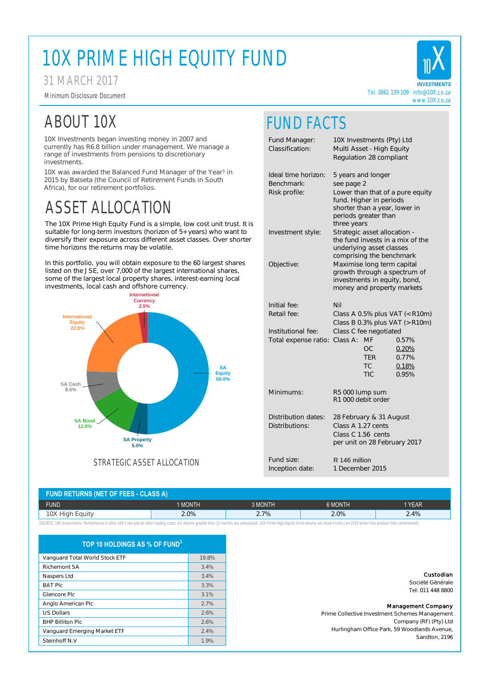| TOP 10 HOLDINGS AS % OF FUND $^3$ |       |  |  |  |
|-----------------------------------|-------|--|--|--|
| Vanguard Total World Stock ETF    | 19.8% |  |  |  |
| <b>Richemont SA</b>               | 3.4%  |  |  |  |
| Naspers Ltd                       | 3.4%  |  |  |  |
| <b>BAT PIC</b>                    | 3.3%  |  |  |  |
| Glencore Plc                      | 3.1%  |  |  |  |
| Anglo American Plc                | 2.7%  |  |  |  |
| <b>US Dollars</b>                 | 2.6%  |  |  |  |
| <b>BHP Billiton Plc</b>           | 2.6%  |  |  |  |
| Vanguard Emerging Market ETF      | 2.4%  |  |  |  |
| Steinhoff N.V                     | 1.9%  |  |  |  |

| <b>FUND RETURNS (NET OF FEES - CLASS A)</b> |         |         |         |        |  |
|---------------------------------------------|---------|---------|---------|--------|--|
| <b>FUND</b>                                 | 1 MONTH | 3 MONTH | 6 MONTH | 1 YEAR |  |
| 10X High Equity                             | $2.0\%$ | 2.7%    | 2.0%    | 2.4%   |  |

SOURCE: 10X Investments. Performance is after 10X's fee and all other trading costs. All returns greater than 12 months are annualised. 10X Prime High Equity Fund returns are shown from Jan 2016 (when this product first co

### FUND FACTS

**INVESTMENTS** Tel. 0861 109 109 info@10X.co.za www.10X.co.za

Fund Manager: 10X Investments (Pty) Ltd Classification: Multi Asset - High Equity Regulation 28 compliant Ideal time horizon: 5 years and longer Benchmark: see page 2 Risk profile: Lower than that of a pure equity fund. Higher in periods shorter than a year, lower in periods greater than three years Investment style: Strategic asset allocation the fund invests in a mix of the underlying asset classes comprising the benchmark Objective: Maximise long term capital growth through a spectrum of investments in equity, bond, money and property markets Initial fee: Nil Retail fee: Class A 0.5% plus VAT (< R10m) Class B 0.3% plus VAT (> R10m) Institutional fee: Class C fee negotiated Total expense ratio: Class A: MF 0.57% OC 0.20% TER 0.77% TC 0.18% TIC 0.95% Minimums: R5 000 lump sum R1 000 debit order



10X was awarded the Balanced Fund Manager of the Year<sup>1</sup> in 2015 by Batseta (the Council of Retirement Funds in South Africa), for our retirement portfolios.

> Distribution dates: 28 February & 31 August Distributions: Class A 1.27 cents Class C 1.56 cents per unit on 28 February 2017

Fund size:

The 10X Prime High Equity Fund is a simple, low cost unit trust. It is suitable for long-term investors (horizon of 5+ years) who want to diversify their exposure across different asset classes. Over shorter time horizons the returns may be volatile.

In this portfolio, you will obtain exposure to the 60 largest shares listed on the JSE, over 7,000 of the largest international shares, some of the largest local property shares, interest-earning local investments, local cash and offshore currency.

### 31 MARCH 2017

### ASSET ALLOCATION

# 10X PRIME HIGH EQUITY FUND

Minimum Disclosure Document

Inception date: 1 December 2015 R 146 million



## ABOUT 10X

10X Investments began investing money in 2007 and currently has R6.8 billion under management. We manage a range of investments from pensions to discretionary investments.

Custodian

Société Générale Tel: 011 448 8800

#### Management Company

Prime Collective Investment Schemes Management Company (RF) (Pty) Ltd Hurlingham Office Park, 59 Woodlands Avenue, Sandton, 2196